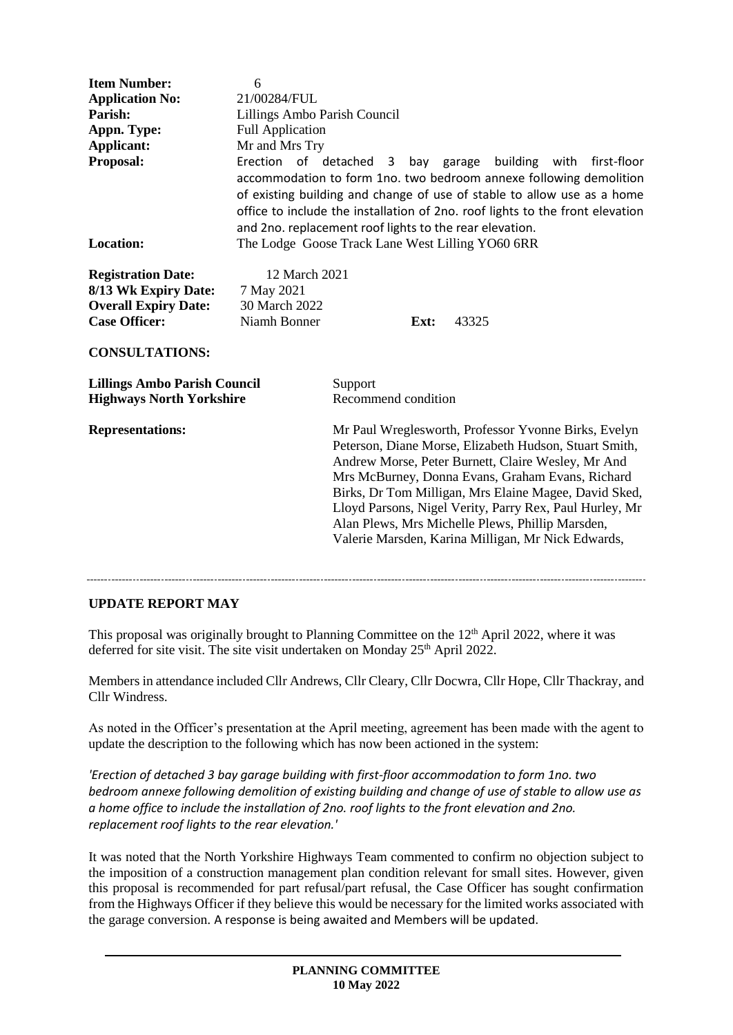| <b>Item Number:</b><br><b>Application No:</b><br>Parish:<br>Appn. Type:<br>Applicant:<br>Proposal:<br><b>Location:</b>            | 6<br>21/00284/FUL<br>Lillings Ambo Parish Council<br><b>Full Application</b><br>Mr and Mrs Try<br>Erection of detached 3 bay garage building with first-floor<br>accommodation to form 1no. two bedroom annexe following demolition<br>of existing building and change of use of stable to allow use as a home<br>office to include the installation of 2no. roof lights to the front elevation<br>and 2no. replacement roof lights to the rear elevation.<br>The Lodge Goose Track Lane West Lilling YO60 6RR |                                                                                                                                                                                                                                                                                                                                                                                                                                                        |      |       |  |  |  |
|-----------------------------------------------------------------------------------------------------------------------------------|----------------------------------------------------------------------------------------------------------------------------------------------------------------------------------------------------------------------------------------------------------------------------------------------------------------------------------------------------------------------------------------------------------------------------------------------------------------------------------------------------------------|--------------------------------------------------------------------------------------------------------------------------------------------------------------------------------------------------------------------------------------------------------------------------------------------------------------------------------------------------------------------------------------------------------------------------------------------------------|------|-------|--|--|--|
| <b>Registration Date:</b><br>8/13 Wk Expiry Date:<br><b>Overall Expiry Date:</b><br><b>Case Officer:</b><br><b>CONSULTATIONS:</b> | 12 March 2021<br>7 May 2021<br>30 March 2022<br>Niamh Bonner                                                                                                                                                                                                                                                                                                                                                                                                                                                   |                                                                                                                                                                                                                                                                                                                                                                                                                                                        | Ext: | 43325 |  |  |  |
| <b>Lillings Ambo Parish Council</b><br><b>Highways North Yorkshire</b>                                                            |                                                                                                                                                                                                                                                                                                                                                                                                                                                                                                                | Support<br>Recommend condition                                                                                                                                                                                                                                                                                                                                                                                                                         |      |       |  |  |  |
| <b>Representations:</b>                                                                                                           |                                                                                                                                                                                                                                                                                                                                                                                                                                                                                                                | Mr Paul Wreglesworth, Professor Yvonne Birks, Evelyn<br>Peterson, Diane Morse, Elizabeth Hudson, Stuart Smith,<br>Andrew Morse, Peter Burnett, Claire Wesley, Mr And<br>Mrs McBurney, Donna Evans, Graham Evans, Richard<br>Birks, Dr Tom Milligan, Mrs Elaine Magee, David Sked,<br>Lloyd Parsons, Nigel Verity, Parry Rex, Paul Hurley, Mr<br>Alan Plews, Mrs Michelle Plews, Phillip Marsden,<br>Valerie Marsden, Karina Milligan, Mr Nick Edwards, |      |       |  |  |  |

**UPDATE REPORT MAY**

This proposal was originally brought to Planning Committee on the 12<sup>th</sup> April 2022, where it was deferred for site visit. The site visit undertaken on Monday 25<sup>th</sup> April 2022.

Members in attendance included Cllr Andrews, Cllr Cleary, Cllr Docwra, Cllr Hope, Cllr Thackray, and Cllr Windress.

As noted in the Officer's presentation at the April meeting, agreement has been made with the agent to update the description to the following which has now been actioned in the system:

*'Erection of detached 3 bay garage building with first-floor accommodation to form 1no. two bedroom annexe following demolition of existing building and change of use of stable to allow use as a home office to include the installation of 2no. roof lights to the front elevation and 2no. replacement roof lights to the rear elevation.'*

It was noted that the North Yorkshire Highways Team commented to confirm no objection subject to the imposition of a construction management plan condition relevant for small sites. However, given this proposal is recommended for part refusal/part refusal, the Case Officer has sought confirmation from the Highways Officer if they believe this would be necessary for the limited works associated with the garage conversion. A response is being awaited and Members will be updated.